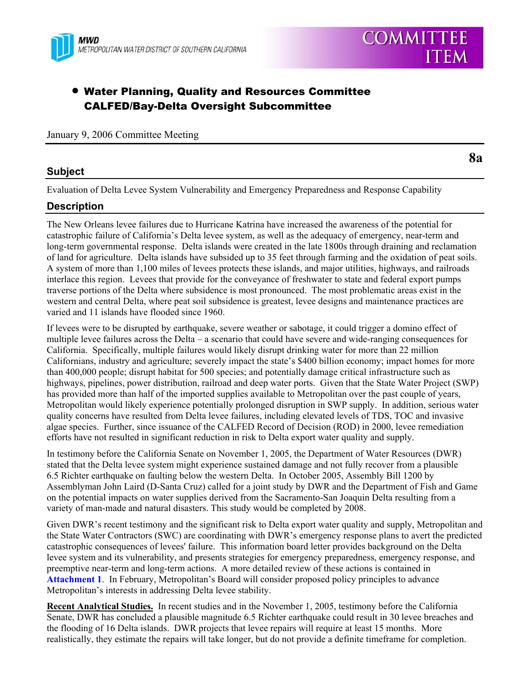

# • Water Planning, Quality and Resources Committee CALFED/Bay-Delta Oversight Subcommittee

#### January 9, 2006 Committee Meeting

### **Subject**

Evaluation of Delta Levee System Vulnerability and Emergency Preparedness and Response Capability

# **Description**

The New Orleans levee failures due to Hurricane Katrina have increased the awareness of the potential for catastrophic failure of California's Delta levee system, as well as the adequacy of emergency, near-term and long-term governmental response. Delta islands were created in the late 1800s through draining and reclamation of land for agriculture. Delta islands have subsided up to 35 feet through farming and the oxidation of peat soils. A system of more than 1,100 miles of levees protects these islands, and major utilities, highways, and railroads interlace this region. Levees that provide for the conveyance of freshwater to state and federal export pumps traverse portions of the Delta where subsidence is most pronounced. The most problematic areas exist in the western and central Delta, where peat soil subsidence is greatest, levee designs and maintenance practices are varied and 11 islands have flooded since 1960.

If levees were to be disrupted by earthquake, severe weather or sabotage, it could trigger a domino effect of multiple levee failures across the Delta – a scenario that could have severe and wide-ranging consequences for California. Specifically, multiple failures would likely disrupt drinking water for more than 22 million Californians, industry and agriculture; severely impact the state's \$400 billion economy; impact homes for more than 400,000 people; disrupt habitat for 500 species; and potentially damage critical infrastructure such as highways, pipelines, power distribution, railroad and deep water ports. Given that the State Water Project (SWP) has provided more than half of the imported supplies available to Metropolitan over the past couple of years, Metropolitan would likely experience potentially prolonged disruption in SWP supply. In addition, serious water quality concerns have resulted from Delta levee failures, including elevated levels of TDS, TOC and invasive algae species. Further, since issuance of the CALFED Record of Decision (ROD) in 2000, levee remediation efforts have not resulted in significant reduction in risk to Delta export water quality and supply.

In testimony before the California Senate on November 1, 2005, the Department of Water Resources (DWR) stated that the Delta levee system might experience sustained damage and not fully recover from a plausible 6.5 Richter earthquake on faulting below the western Delta. In October 2005, Assembly Bill 1200 by Assemblyman John Laird (D-Santa Cruz) called for a joint study by DWR and the Department of Fish and Game on the potential impacts on water supplies derived from the Sacramento-San Joaquin Delta resulting from a variety of man-made and natural disasters. This study would be completed by 2008.

Given DWR's recent testimony and the significant risk to Delta export water quality and supply, Metropolitan and the State Water Contractors (SWC) are coordinating with DWR's emergency response plans to avert the predicted catastrophic consequences of levees' failure. This information board letter provides background on the Delta levee system and its vulnerability, and presents strategies for emergency preparedness, emergency response, and preemptive near-term and long-term actions. A more detailed review of these actions is contained in **Attachment 1**. In February, Metropolitan's Board will consider proposed policy principles to advance Metropolitan's interests in addressing Delta levee stability.

**Recent Analytical Studies.** In recent studies and in the November 1, 2005, testimony before the California Senate, DWR has concluded a plausible magnitude 6.5 Richter earthquake could result in 30 levee breaches and the flooding of 16 Delta islands. DWR projects that levee repairs will require at least 15 months. More realistically, they estimate the repairs will take longer, but do not provide a definite timeframe for completion.

**8a** 

**COMMITTEE** 

**ITEM**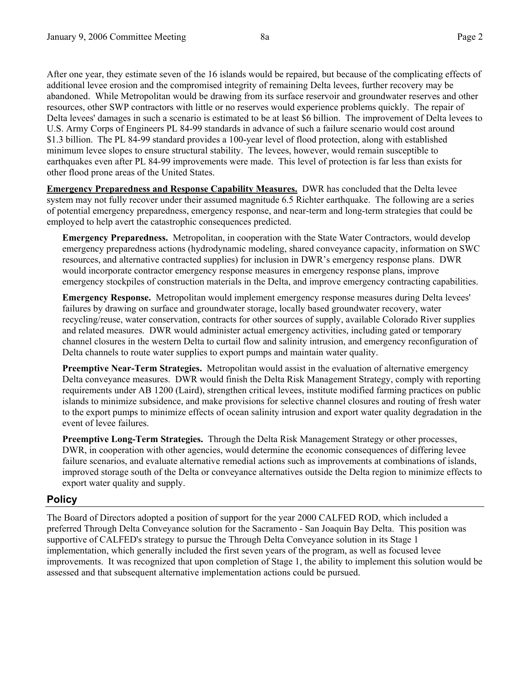After one year, they estimate seven of the 16 islands would be repaired, but because of the complicating effects of additional levee erosion and the compromised integrity of remaining Delta levees, further recovery may be abandoned. While Metropolitan would be drawing from its surface reservoir and groundwater reserves and other resources, other SWP contractors with little or no reserves would experience problems quickly. The repair of Delta levees' damages in such a scenario is estimated to be at least \$6 billion. The improvement of Delta levees to U.S. Army Corps of Engineers PL 84-99 standards in advance of such a failure scenario would cost around \$1.3 billion. The PL 84-99 standard provides a 100-year level of flood protection, along with established minimum levee slopes to ensure structural stability. The levees, however, would remain susceptible to earthquakes even after PL 84-99 improvements were made. This level of protection is far less than exists for other flood prone areas of the United States.

**Emergency Preparedness and Response Capability Measures.** DWR has concluded that the Delta levee system may not fully recover under their assumed magnitude 6.5 Richter earthquake. The following are a series of potential emergency preparedness, emergency response, and near-term and long-term strategies that could be employed to help avert the catastrophic consequences predicted.

**Emergency Preparedness.** Metropolitan, in cooperation with the State Water Contractors, would develop emergency preparedness actions (hydrodynamic modeling, shared conveyance capacity, information on SWC resources, and alternative contracted supplies) for inclusion in DWR's emergency response plans. DWR would incorporate contractor emergency response measures in emergency response plans, improve emergency stockpiles of construction materials in the Delta, and improve emergency contracting capabilities.

**Emergency Response.** Metropolitan would implement emergency response measures during Delta levees' failures by drawing on surface and groundwater storage, locally based groundwater recovery, water recycling/reuse, water conservation, contracts for other sources of supply, available Colorado River supplies and related measures. DWR would administer actual emergency activities, including gated or temporary channel closures in the western Delta to curtail flow and salinity intrusion, and emergency reconfiguration of Delta channels to route water supplies to export pumps and maintain water quality.

**Preemptive Near-Term Strategies.** Metropolitan would assist in the evaluation of alternative emergency Delta conveyance measures. DWR would finish the Delta Risk Management Strategy, comply with reporting requirements under AB 1200 (Laird), strengthen critical levees, institute modified farming practices on public islands to minimize subsidence, and make provisions for selective channel closures and routing of fresh water to the export pumps to minimize effects of ocean salinity intrusion and export water quality degradation in the event of levee failures.

**Preemptive Long-Term Strategies.** Through the Delta Risk Management Strategy or other processes, DWR, in cooperation with other agencies, would determine the economic consequences of differing levee failure scenarios, and evaluate alternative remedial actions such as improvements at combinations of islands, improved storage south of the Delta or conveyance alternatives outside the Delta region to minimize effects to export water quality and supply.

# **Policy**

The Board of Directors adopted a position of support for the year 2000 CALFED ROD, which included a preferred Through Delta Conveyance solution for the Sacramento - San Joaquin Bay Delta. This position was supportive of CALFED's strategy to pursue the Through Delta Conveyance solution in its Stage 1 implementation, which generally included the first seven years of the program, as well as focused levee improvements. It was recognized that upon completion of Stage 1, the ability to implement this solution would be assessed and that subsequent alternative implementation actions could be pursued.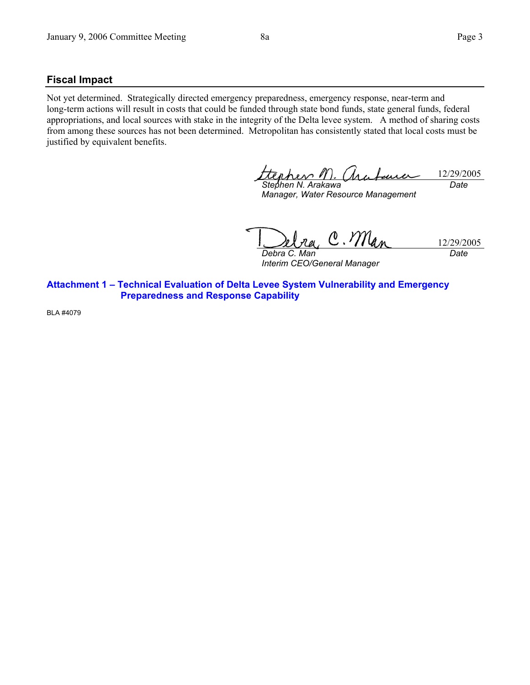### **Fiscal Impact**

Not yet determined. Strategically directed emergency preparedness, emergency response, near-term and long-term actions will result in costs that could be funded through state bond funds, state general funds, federal appropriations, and local sources with stake in the integrity of the Delta levee system. A method of sharing costs from among these sources has not been determined. Metropolitan has consistently stated that local costs must be justified by equivalent benefits.

pher / 12/29/2005 *Stephen N. Arakawa Date* 

*Manager, Water Resource Management* 

 $\mathcal{M}_{a}$  $\theta$ 12/29/2005 *Debra C. Man* 

*Interim CEO/General Manager* 

*Date* 

**Attachment 1 – Technical Evaluation of Delta Levee System Vulnerability and Emergency Preparedness and Response Capability** 

BLA #4079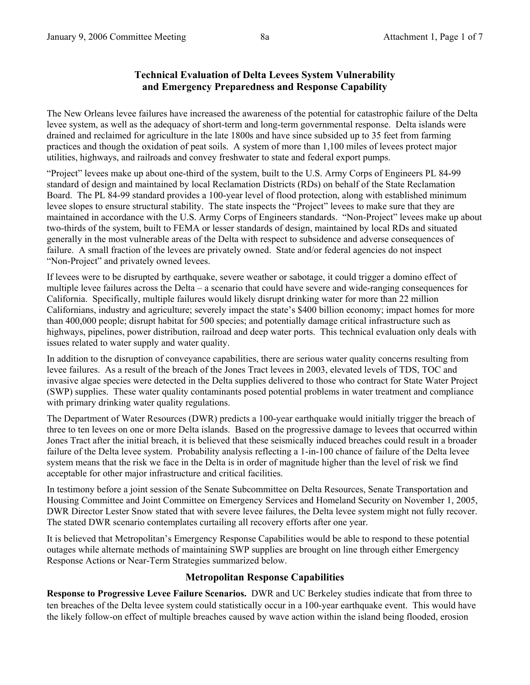### **Technical Evaluation of Delta Levees System Vulnerability and Emergency Preparedness and Response Capability**

The New Orleans levee failures have increased the awareness of the potential for catastrophic failure of the Delta levee system, as well as the adequacy of short-term and long-term governmental response. Delta islands were drained and reclaimed for agriculture in the late 1800s and have since subsided up to 35 feet from farming practices and though the oxidation of peat soils. A system of more than 1,100 miles of levees protect major utilities, highways, and railroads and convey freshwater to state and federal export pumps.

"Project" levees make up about one-third of the system, built to the U.S. Army Corps of Engineers PL 84-99 standard of design and maintained by local Reclamation Districts (RDs) on behalf of the State Reclamation Board. The PL 84-99 standard provides a 100-year level of flood protection, along with established minimum levee slopes to ensure structural stability. The state inspects the "Project" levees to make sure that they are maintained in accordance with the U.S. Army Corps of Engineers standards. "Non-Project" levees make up about two-thirds of the system, built to FEMA or lesser standards of design, maintained by local RDs and situated generally in the most vulnerable areas of the Delta with respect to subsidence and adverse consequences of failure. A small fraction of the levees are privately owned. State and/or federal agencies do not inspect "Non-Project" and privately owned levees.

If levees were to be disrupted by earthquake, severe weather or sabotage, it could trigger a domino effect of multiple levee failures across the Delta – a scenario that could have severe and wide-ranging consequences for California. Specifically, multiple failures would likely disrupt drinking water for more than 22 million Californians, industry and agriculture; severely impact the state's \$400 billion economy; impact homes for more than 400,000 people; disrupt habitat for 500 species; and potentially damage critical infrastructure such as highways, pipelines, power distribution, railroad and deep water ports. This technical evaluation only deals with issues related to water supply and water quality.

In addition to the disruption of conveyance capabilities, there are serious water quality concerns resulting from levee failures. As a result of the breach of the Jones Tract levees in 2003, elevated levels of TDS, TOC and invasive algae species were detected in the Delta supplies delivered to those who contract for State Water Project (SWP) supplies. These water quality contaminants posed potential problems in water treatment and compliance with primary drinking water quality regulations.

The Department of Water Resources (DWR) predicts a 100-year earthquake would initially trigger the breach of three to ten levees on one or more Delta islands. Based on the progressive damage to levees that occurred within Jones Tract after the initial breach, it is believed that these seismically induced breaches could result in a broader failure of the Delta levee system. Probability analysis reflecting a 1-in-100 chance of failure of the Delta levee system means that the risk we face in the Delta is in order of magnitude higher than the level of risk we find acceptable for other major infrastructure and critical facilities.

In testimony before a joint session of the Senate Subcommittee on Delta Resources, Senate Transportation and Housing Committee and Joint Committee on Emergency Services and Homeland Security on November 1, 2005, DWR Director Lester Snow stated that with severe levee failures, the Delta levee system might not fully recover. The stated DWR scenario contemplates curtailing all recovery efforts after one year.

It is believed that Metropolitan's Emergency Response Capabilities would be able to respond to these potential outages while alternate methods of maintaining SWP supplies are brought on line through either Emergency Response Actions or Near-Term Strategies summarized below.

#### **Metropolitan Response Capabilities**

**Response to Progressive Levee Failure Scenarios.** DWR and UC Berkeley studies indicate that from three to ten breaches of the Delta levee system could statistically occur in a 100-year earthquake event. This would have the likely follow-on effect of multiple breaches caused by wave action within the island being flooded, erosion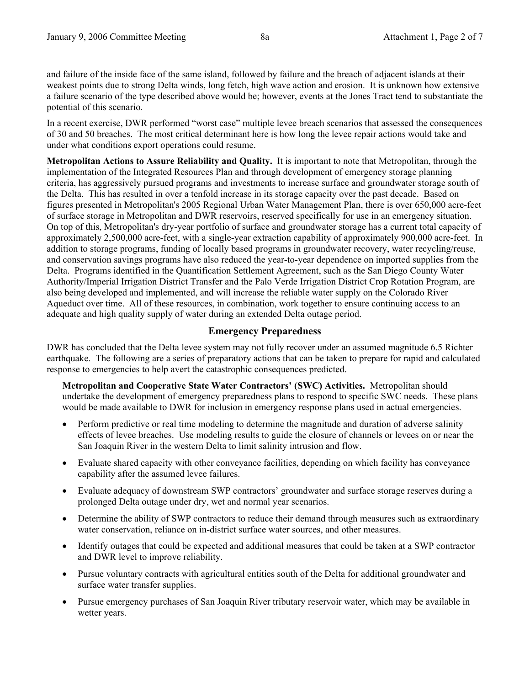and failure of the inside face of the same island, followed by failure and the breach of adjacent islands at their weakest points due to strong Delta winds, long fetch, high wave action and erosion. It is unknown how extensive a failure scenario of the type described above would be; however, events at the Jones Tract tend to substantiate the potential of this scenario.

In a recent exercise, DWR performed "worst case" multiple levee breach scenarios that assessed the consequences of 30 and 50 breaches. The most critical determinant here is how long the levee repair actions would take and under what conditions export operations could resume.

**Metropolitan Actions to Assure Reliability and Quality.** It is important to note that Metropolitan, through the implementation of the Integrated Resources Plan and through development of emergency storage planning criteria, has aggressively pursued programs and investments to increase surface and groundwater storage south of the Delta. This has resulted in over a tenfold increase in its storage capacity over the past decade. Based on figures presented in Metropolitan's 2005 Regional Urban Water Management Plan, there is over 650,000 acre-feet of surface storage in Metropolitan and DWR reservoirs, reserved specifically for use in an emergency situation. On top of this, Metropolitan's dry-year portfolio of surface and groundwater storage has a current total capacity of approximately 2,500,000 acre-feet, with a single-year extraction capability of approximately 900,000 acre-feet. In addition to storage programs, funding of locally based programs in groundwater recovery, water recycling/reuse, and conservation savings programs have also reduced the year-to-year dependence on imported supplies from the Delta. Programs identified in the Quantification Settlement Agreement, such as the San Diego County Water Authority/Imperial Irrigation District Transfer and the Palo Verde Irrigation District Crop Rotation Program, are also being developed and implemented, and will increase the reliable water supply on the Colorado River Aqueduct over time. All of these resources, in combination, work together to ensure continuing access to an adequate and high quality supply of water during an extended Delta outage period.

# **Emergency Preparedness**

DWR has concluded that the Delta levee system may not fully recover under an assumed magnitude 6.5 Richter earthquake. The following are a series of preparatory actions that can be taken to prepare for rapid and calculated response to emergencies to help avert the catastrophic consequences predicted.

**Metropolitan and Cooperative State Water Contractors' (SWC) Activities.** Metropolitan should undertake the development of emergency preparedness plans to respond to specific SWC needs. These plans would be made available to DWR for inclusion in emergency response plans used in actual emergencies.

- Perform predictive or real time modeling to determine the magnitude and duration of adverse salinity effects of levee breaches. Use modeling results to guide the closure of channels or levees on or near the San Joaquin River in the western Delta to limit salinity intrusion and flow.
- Evaluate shared capacity with other conveyance facilities, depending on which facility has conveyance capability after the assumed levee failures.
- Evaluate adequacy of downstream SWP contractors' groundwater and surface storage reserves during a prolonged Delta outage under dry, wet and normal year scenarios.
- Determine the ability of SWP contractors to reduce their demand through measures such as extraordinary water conservation, reliance on in-district surface water sources, and other measures.
- Identify outages that could be expected and additional measures that could be taken at a SWP contractor and DWR level to improve reliability.
- Pursue voluntary contracts with agricultural entities south of the Delta for additional groundwater and surface water transfer supplies.
- Pursue emergency purchases of San Joaquin River tributary reservoir water, which may be available in wetter years.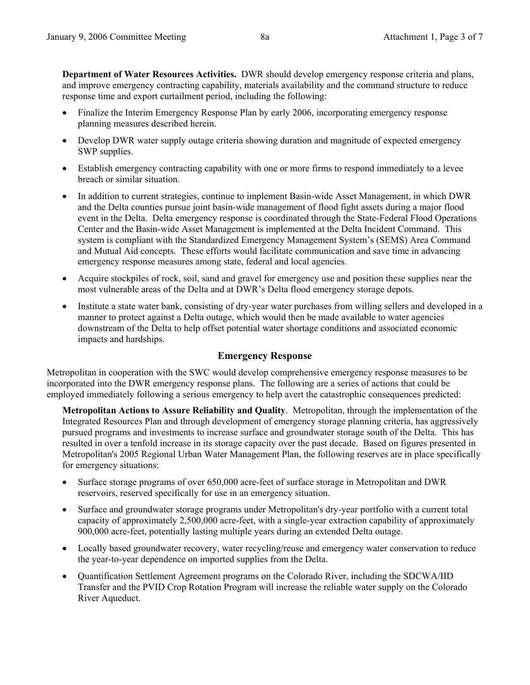**Department of Water Resources Activities.** DWR should develop emergency response criteria and plans, and improve emergency contracting capability, materials availability and the command structure to reduce response time and export curtailment period, including the following:

- Finalize the Interim Emergency Response Plan by early 2006, incorporating emergency response planning measures described herein.
- Develop DWR water supply outage criteria showing duration and magnitude of expected emergency SWP supplies.
- Establish emergency contracting capability with one or more firms to respond immediately to a levee breach or similar situation.
- In addition to current strategies, continue to implement Basin-wide Asset Management, in which DWR and the Delta counties pursue joint basin-wide management of flood fight assets during a major flood event in the Delta. Delta emergency response is coordinated through the State-Federal Flood Operations Center and the Basin-wide Asset Management is implemented at the Delta Incident Command. This system is compliant with the Standardized Emergency Management System's (SEMS) Area Command and Mutual Aid concepts. These efforts would facilitate communication and save time in advancing emergency response measures among state, federal and local agencies.
- Acquire stockpiles of rock, soil, sand and gravel for emergency use and position these supplies near the most vulnerable areas of the Delta and at DWR's Delta flood emergency storage depots.
- Institute a state water bank, consisting of dry-year water purchases from willing sellers and developed in a manner to protect against a Delta outage, which would then be made available to water agencies downstream of the Delta to help offset potential water shortage conditions and associated economic impacts and hardships.

### **Emergency Response**

Metropolitan in cooperation with the SWC would develop comprehensive emergency response measures to be incorporated into the DWR emergency response plans. The following are a series of actions that could be employed immediately following a serious emergency to help avert the catastrophic consequences predicted:

**Metropolitan Actions to Assure Reliability and Quality**. Metropolitan, through the implementation of the Integrated Resources Plan and through development of emergency storage planning criteria, has aggressively pursued programs and investments to increase surface and groundwater storage south of the Delta. This has resulted in over a tenfold increase in its storage capacity over the past decade. Based on figures presented in Metropolitan's 2005 Regional Urban Water Management Plan, the following reserves are in place specifically for emergency situations:

- Surface storage programs of over 650,000 acre-feet of surface storage in Metropolitan and DWR reservoirs, reserved specifically for use in an emergency situation.
- Surface and groundwater storage programs under Metropolitan's dry-year portfolio with a current total capacity of approximately 2,500,000 acre-feet, with a single-year extraction capability of approximately 900,000 acre-feet, potentially lasting multiple years during an extended Delta outage.
- Locally based groundwater recovery, water recycling/reuse and emergency water conservation to reduce the year-to-year dependence on imported supplies from the Delta.
- Quantification Settlement Agreement programs on the Colorado River, including the SDCWA/IID Transfer and the PVID Crop Rotation Program will increase the reliable water supply on the Colorado River Aqueduct.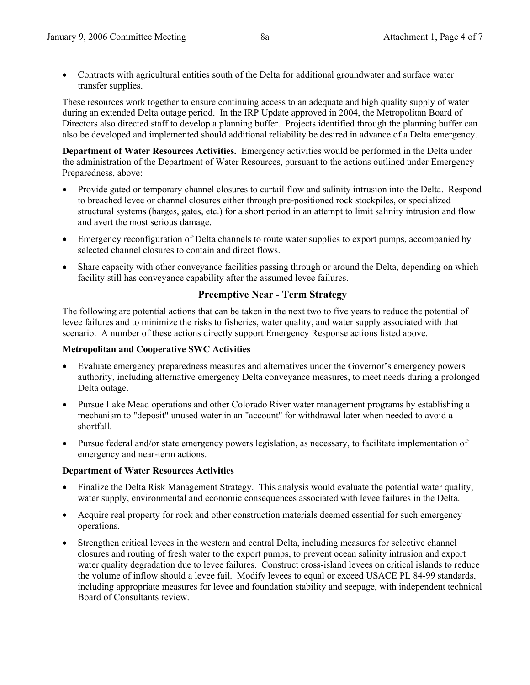• Contracts with agricultural entities south of the Delta for additional groundwater and surface water transfer supplies.

These resources work together to ensure continuing access to an adequate and high quality supply of water during an extended Delta outage period. In the IRP Update approved in 2004, the Metropolitan Board of Directors also directed staff to develop a planning buffer. Projects identified through the planning buffer can also be developed and implemented should additional reliability be desired in advance of a Delta emergency.

**Department of Water Resources Activities.** Emergency activities would be performed in the Delta under the administration of the Department of Water Resources, pursuant to the actions outlined under Emergency Preparedness, above:

- Provide gated or temporary channel closures to curtail flow and salinity intrusion into the Delta. Respond to breached levee or channel closures either through pre-positioned rock stockpiles, or specialized structural systems (barges, gates, etc.) for a short period in an attempt to limit salinity intrusion and flow and avert the most serious damage.
- Emergency reconfiguration of Delta channels to route water supplies to export pumps, accompanied by selected channel closures to contain and direct flows.
- Share capacity with other conveyance facilities passing through or around the Delta, depending on which facility still has conveyance capability after the assumed levee failures.

### **Preemptive Near - Term Strategy**

The following are potential actions that can be taken in the next two to five years to reduce the potential of levee failures and to minimize the risks to fisheries, water quality, and water supply associated with that scenario. A number of these actions directly support Emergency Response actions listed above.

#### **Metropolitan and Cooperative SWC Activities**

- Evaluate emergency preparedness measures and alternatives under the Governor's emergency powers authority, including alternative emergency Delta conveyance measures, to meet needs during a prolonged Delta outage.
- Pursue Lake Mead operations and other Colorado River water management programs by establishing a mechanism to "deposit" unused water in an "account" for withdrawal later when needed to avoid a shortfall.
- Pursue federal and/or state emergency powers legislation, as necessary, to facilitate implementation of emergency and near-term actions.

### **Department of Water Resources Activities**

- Finalize the Delta Risk Management Strategy. This analysis would evaluate the potential water quality, water supply, environmental and economic consequences associated with levee failures in the Delta.
- Acquire real property for rock and other construction materials deemed essential for such emergency operations.
- Strengthen critical levees in the western and central Delta, including measures for selective channel closures and routing of fresh water to the export pumps, to prevent ocean salinity intrusion and export water quality degradation due to levee failures. Construct cross-island levees on critical islands to reduce the volume of inflow should a levee fail. Modify levees to equal or exceed USACE PL 84-99 standards, including appropriate measures for levee and foundation stability and seepage, with independent technical Board of Consultants review.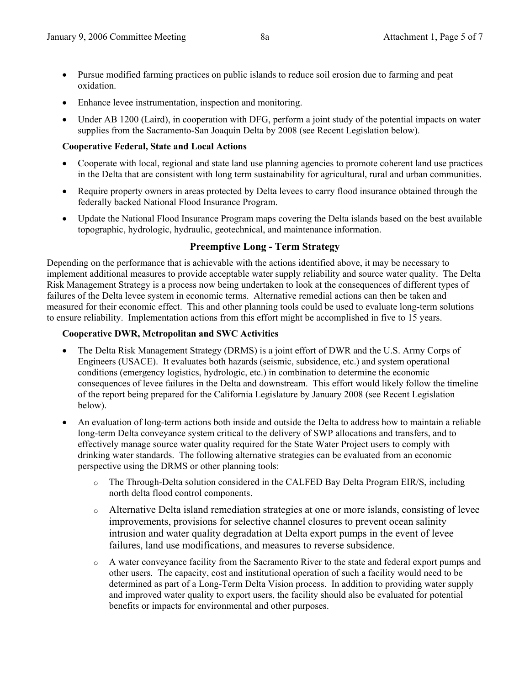- Pursue modified farming practices on public islands to reduce soil erosion due to farming and peat oxidation.
- Enhance levee instrumentation, inspection and monitoring.
- Under AB 1200 (Laird), in cooperation with DFG, perform a joint study of the potential impacts on water supplies from the Sacramento-San Joaquin Delta by 2008 (see Recent Legislation below).

### **Cooperative Federal, State and Local Actions**

- Cooperate with local, regional and state land use planning agencies to promote coherent land use practices in the Delta that are consistent with long term sustainability for agricultural, rural and urban communities.
- Require property owners in areas protected by Delta levees to carry flood insurance obtained through the federally backed National Flood Insurance Program.
- Update the National Flood Insurance Program maps covering the Delta islands based on the best available topographic, hydrologic, hydraulic, geotechnical, and maintenance information.

### **Preemptive Long - Term Strategy**

Depending on the performance that is achievable with the actions identified above, it may be necessary to implement additional measures to provide acceptable water supply reliability and source water quality. The Delta Risk Management Strategy is a process now being undertaken to look at the consequences of different types of failures of the Delta levee system in economic terms. Alternative remedial actions can then be taken and measured for their economic effect. This and other planning tools could be used to evaluate long-term solutions to ensure reliability. Implementation actions from this effort might be accomplished in five to 15 years.

#### **Cooperative DWR, Metropolitan and SWC Activities**

- The Delta Risk Management Strategy (DRMS) is a joint effort of DWR and the U.S. Army Corps of Engineers (USACE). It evaluates both hazards (seismic, subsidence, etc.) and system operational conditions (emergency logistics, hydrologic, etc.) in combination to determine the economic consequences of levee failures in the Delta and downstream. This effort would likely follow the timeline of the report being prepared for the California Legislature by January 2008 (see Recent Legislation below).
- An evaluation of long-term actions both inside and outside the Delta to address how to maintain a reliable long-term Delta conveyance system critical to the delivery of SWP allocations and transfers, and to effectively manage source water quality required for the State Water Project users to comply with drinking water standards. The following alternative strategies can be evaluated from an economic perspective using the DRMS or other planning tools:
	- o The Through-Delta solution considered in the CALFED Bay Delta Program EIR/S, including north delta flood control components.
	- o Alternative Delta island remediation strategies at one or more islands, consisting of levee improvements, provisions for selective channel closures to prevent ocean salinity intrusion and water quality degradation at Delta export pumps in the event of levee failures, land use modifications, and measures to reverse subsidence.
	- o A water conveyance facility from the Sacramento River to the state and federal export pumps and other users. The capacity, cost and institutional operation of such a facility would need to be determined as part of a Long-Term Delta Vision process. In addition to providing water supply and improved water quality to export users, the facility should also be evaluated for potential benefits or impacts for environmental and other purposes.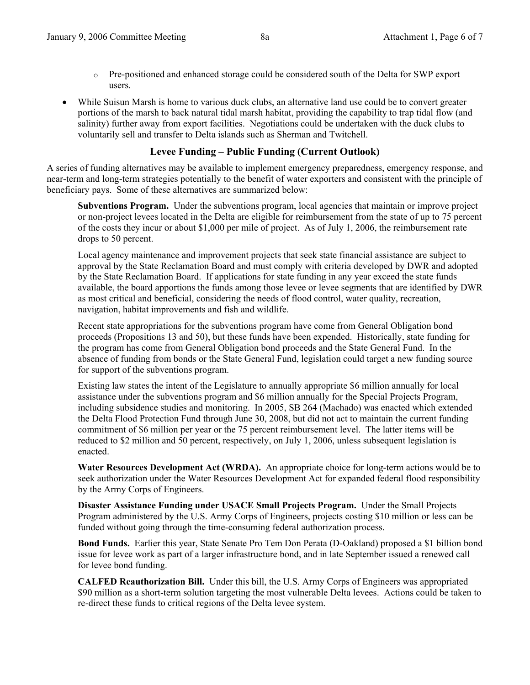- o Pre-positioned and enhanced storage could be considered south of the Delta for SWP export users.
- While Suisun Marsh is home to various duck clubs, an alternative land use could be to convert greater portions of the marsh to back natural tidal marsh habitat, providing the capability to trap tidal flow (and salinity) further away from export facilities. Negotiations could be undertaken with the duck clubs to voluntarily sell and transfer to Delta islands such as Sherman and Twitchell.

#### **Levee Funding – Public Funding (Current Outlook)**

A series of funding alternatives may be available to implement emergency preparedness, emergency response, and near-term and long-term strategies potentially to the benefit of water exporters and consistent with the principle of beneficiary pays. Some of these alternatives are summarized below:

**Subventions Program.** Under the subventions program, local agencies that maintain or improve project or non-project levees located in the Delta are eligible for reimbursement from the state of up to 75 percent of the costs they incur or about \$1,000 per mile of project. As of July 1, 2006, the reimbursement rate drops to 50 percent.

Local agency maintenance and improvement projects that seek state financial assistance are subject to approval by the State Reclamation Board and must comply with criteria developed by DWR and adopted by the State Reclamation Board. If applications for state funding in any year exceed the state funds available, the board apportions the funds among those levee or levee segments that are identified by DWR as most critical and beneficial, considering the needs of flood control, water quality, recreation, navigation, habitat improvements and fish and wildlife.

Recent state appropriations for the subventions program have come from General Obligation bond proceeds (Propositions 13 and 50), but these funds have been expended. Historically, state funding for the program has come from General Obligation bond proceeds and the State General Fund. In the absence of funding from bonds or the State General Fund, legislation could target a new funding source for support of the subventions program.

Existing law states the intent of the Legislature to annually appropriate \$6 million annually for local assistance under the subventions program and \$6 million annually for the Special Projects Program, including subsidence studies and monitoring. In 2005, SB 264 (Machado) was enacted which extended the Delta Flood Protection Fund through June 30, 2008, but did not act to maintain the current funding commitment of \$6 million per year or the 75 percent reimbursement level. The latter items will be reduced to \$2 million and 50 percent, respectively, on July 1, 2006, unless subsequent legislation is enacted.

**Water Resources Development Act (WRDA).** An appropriate choice for long-term actions would be to seek authorization under the Water Resources Development Act for expanded federal flood responsibility by the Army Corps of Engineers.

**Disaster Assistance Funding under USACE Small Projects Program.** Under the Small Projects Program administered by the U.S. Army Corps of Engineers, projects costing \$10 million or less can be funded without going through the time-consuming federal authorization process.

**Bond Funds.** Earlier this year, State Senate Pro Tem Don Perata (D-Oakland) proposed a \$1 billion bond issue for levee work as part of a larger infrastructure bond, and in late September issued a renewed call for levee bond funding.

**CALFED Reauthorization Bill.** Under this bill, the U.S. Army Corps of Engineers was appropriated \$90 million as a short-term solution targeting the most vulnerable Delta levees. Actions could be taken to re-direct these funds to critical regions of the Delta levee system.